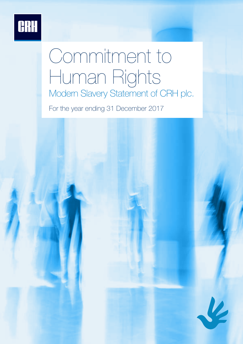

# Commitment to Human Rights Modern Slavery Statement of CRH plc.

For the year ending 31 December 2017

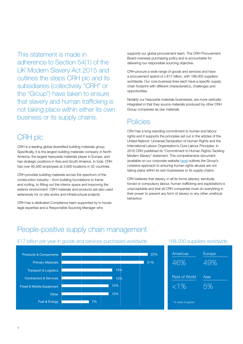This statement is made in adherence to Section 54(1) of the UK Modern Slavery Act 2015 and outlines the steps CRH plc and its subsidiaries (collectively "CRH" or the "Group") have taken to ensure that slavery and human trafficking is not taking place within either its own business or its supply chains.

#### CRH plc

CRH is a leading global diversified building materials group. Specifically, it is the largest building materials company in North America, the largest heavyside materials player in Europe, and has strategic positions in Asia and South America. In total, CRH has over 85,000 employees at 3,600 locations in 32 countries.

CRH provides building materials across the spectrum of the construction industry – from building foundations to frame and roofing, to fitting out the interior space and improving the exterior environment. CRH materials and products are also used extensively for on site works and infrastructural projects.

CRH has a dedicated Compliance team supported by in-house legal expertise and a Responsible Sourcing Manager who

supports our global procurement team. The CRH Procurement Board oversees purchasing policy and is accountable for delivering our responsible sourcing objective.

CRH procure a wide range of goods and services and have a procurement spend of c.€17 billion, with 168,000 suppliers worldwide. Our core business lines each have a specific supply chain footprint with different characteristics, challenges and opportunities:

Notably our heavyside materials businesses, are more verticallyintegrated in that they source materials produced by other CRH Group companies as raw materials.

#### **Policies**

CRH has a long-standing commitment to human and labour rights and it supports the principles set out in the articles of the United Nations' Universal Declaration of Human Rights and the International Labour Organisation's Core Labour Principles. In 2016 CRH published its "Commitment to Human Rights–Tackling Modern Slavery" statement. This comprehensive document (available on our corporate website [here\)](http://crh.com/docs/sustainability-2017/commitment-to-human-rights---tackling-modern-slavery.pdf?sfvrsn=4) outlines the Group's cohesive approach to ensuring human rights abuses are not taking place within its own businesses or its supply chains.

CRH believes that slavery, in all its forms (slavery, servitude, forced or compulsory labour, human trafficking and exploitation) is unacceptable and that all CRH companies must do everything in their power to prevent any form of slavery or any other unethical behaviour.

#### People-positive supply chain management



#### €17 billion per year in goods and services purchased worldwide 168,000 suppliers worldwide

| Americas             | Europe |
|----------------------|--------|
| 46%                  | 49%    |
| <b>Rest of World</b> | Asia   |
| $<$ 1%               | 5%     |
| * % total of spend   |        |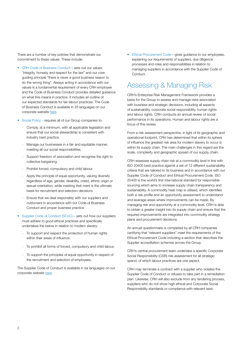There are a number of key policies that demonstrate our commitment to these values. These include:

- CRH Code of Business Conduct sets out our values "integrity, honesty and respect for the law" and our core guiding principle "there is never a good business reason to do the wrong thing". Always acting in accordance with our values is a fundamental requirement of every CRH employee and the Code of Business Conduct provides detailed guidance on what this means in practice. It includes an outline of our expected standards for fair labour practices. The Code of Business Conduct is available in 25 languages on our corporate website [here](https://www.crh.com/investors/equity-investors/faqs/detail/lists/code-of-conduct/download-a-copy-of-the-code-of-business-conduct).
- Social Policy requires all of our Group companies to:
	- Comply, at a minimum, with all applicable legislation and ensure that our social stewardship is consistent with industry best practice.
	- Manage our businesses in a fair and equitable manner, meeting all our social responsibilities.
	- Support freedom of association and recognise the right to collective bargaining
	- Prohibit forced, compulsory and child labour.
	- Apply the principle of equal opportunity, valuing diversity regardless of age, gender, disability, creed, ethnic origin or sexual orientation, while insisting that merit is the ultimate basis for recruitment and selection decisions
	- Ensure that we deal responsibly with our suppliers and customers in accordance with our Code of Business Conduct and proper business practice
- Supplier Code of Conduct (SCoC) sets out how our suppliers must adhere to good ethical practices and specifically undertakes the below in relation to modern slavery:
	- To support and respect the protection of human rights within their areas of influence.
	- To prohibit all forms of forced, compulsory and child labour.
	- To support the principles of equal opportunity in respect of the recruitment and selection of employees.

The Supplier Code of Conduct is available in six languages on our corporate website [here.](https://www.crh.com/investors/equity-investors/faqs/detail/lists/code-of-conduct/download-a-copy-of-the-supplier-code-of-conduct-)

• Ethical Procurement Code – gives guidance to our employees, explaining our requirements of suppliers, due diligence processes and roles and responsibilities in relation to managing suppliers in accordance with the Supplier Code of Conduct.

#### Assessing & Managing Risk

CRH's Enterprise Risk Management Framework provides a basis for the Group to assess and manage risks associated with business and strategic decisions, including all aspects of sustainability, corporate social responsibility, human rights and labour rights. CRH conducts an annual review of social performance in its operations. Human and labour rights are a focus of this review.

From a risk assessment perspective, in light of its geographic and operational footprint, CRH has determined that within its sphere of influence the greatest risk area for modern slavery to occur is within its supply chain. The main challenges in this regard are the scale, complexity and geographic spread of our supply chain.

CRH assesses supply chain risk at a commodity level in line with ISO 20400 best practice against a set of 12 different sustainability criteria that are tailored to its business and in accordance with our Supplier Code of Conduct and Ethical Procurement Code. ISO 20400 is the world's first international standard for responsible sourcing which aims to increase supply chain transparency and sustainability. A commodity heat map is utilised, which identifies both a risk profile and an opportunity assessment to understand and leverage areas where improvements can be made. By managing risk and opportunity at a commodity level, CRH is able to obtain a greater insight into its supply chain and ensure that the required improvements are integrated into commodity strategy plans and procurement decisions.

An annual questionnaire is completed by all CRH companies certifying that "relevant suppliers" meet the requirements of the Ethical Procurement Code including a section that describes the Supplier accreditation schemes across the Group.

CRH's central procurement team undertake a specific Corporate Social Responsibility (CSR) risk assessment for all strategic spend, of which labour practices are one aspect.

CRH may terminate a contract with a supplier who violates the Supplier Code of Conduct or refuses to take part in a remediation plan. Likewise, CRH will also exclude from any tendering process, suppliers who do not show high ethical and Corporate Social Responsibility standards or compliance with relevant laws.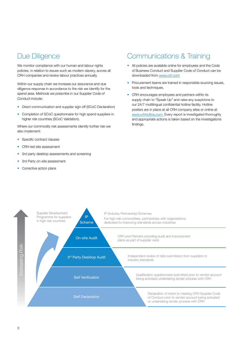#### Due Diligence

We monitor compliance with our human and labour rights policies, in relation to issues such as modern slavery, across all CRH companies and review labour practices annually.

Within our supply chain we increase our assurance and due diligence response in accordance to the risk we identify for the spend area. Methods we prescribe in our Supplier Code of Conduct include:

- Direct communication and supplier sign off (SCoC Declaration)
- Completion of SCoC questionnaire for high spend suppliers in higher risk countries (SCoC Validation).

Where our commodity risk assessments identify further risk we also implement:

- Specific contract clauses
- CRH-led site assessment
- 3rd party desktop assessments and screening
- 3rd Party on-site assessment
- Corrective action plans

#### Communications & Training

- All policies are available online for employees and the Code of Business Conduct and Supplier Code of Conduct can be downloaded from [www.crh.com](http://www.crh.com/)
- Procurement teams are trained in responsible sourcing issues, tools and techniques.
- CRH encourages employees and partners within its supply chain to "Speak Up" and raise any suspicions to our 24/7 multilingual confidential hotline facility. Hotline posters are in place at all CRH company sites or online at [www.crhhotline.com.](http://www.crhhotline.com/) Every report is investigated thoroughly and appropriate actions is taken based on the investigations findings.